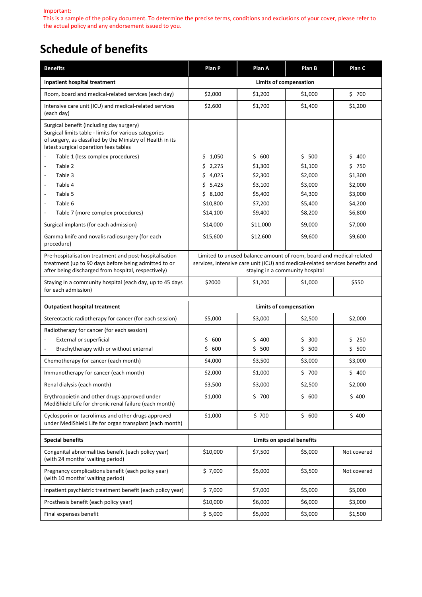#### Important:

This is a sample of the policy document. To determine the precise terms, conditions and exclusions of your cover, please refer to the actual policy and any endorsement issued to you.

# **Schedule of benefits**

| <b>Benefits</b>                                                                                                                                                                                          | Plan P                                                                                                                                                                                  | Plan A             | Plan B             | Plan C             |
|----------------------------------------------------------------------------------------------------------------------------------------------------------------------------------------------------------|-----------------------------------------------------------------------------------------------------------------------------------------------------------------------------------------|--------------------|--------------------|--------------------|
| <b>Inpatient hospital treatment</b>                                                                                                                                                                      | Limits of compensation                                                                                                                                                                  |                    |                    |                    |
| Room, board and medical-related services (each day)                                                                                                                                                      | \$2,000                                                                                                                                                                                 | \$1,200            | \$1,000            | \$700              |
| Intensive care unit (ICU) and medical-related services<br>(each day)                                                                                                                                     | \$2,600                                                                                                                                                                                 | \$1,700            | \$1,400            | \$1,200            |
| Surgical benefit (including day surgery)<br>Surgical limits table - limits for various categories<br>of surgery, as classified by the Ministry of Health in its<br>latest surgical operation fees tables |                                                                                                                                                                                         |                    |                    |                    |
| Table 1 (less complex procedures)<br>$\overline{\phantom{a}}$                                                                                                                                            | \$<br>1,050                                                                                                                                                                             | \$600              | \$<br>500          | \$<br>400          |
| Table 2<br>$\overline{\phantom{a}}$                                                                                                                                                                      | \$<br>2,275                                                                                                                                                                             | \$1,300            | \$1,100            | \$750              |
| Table 3<br>$\overline{\phantom{a}}$                                                                                                                                                                      | \$<br>4,025                                                                                                                                                                             | \$2,300            | \$2,000            | \$1,300            |
| Table 4<br>$\qquad \qquad \blacksquare$<br>Table 5<br>$\overline{a}$                                                                                                                                     | \$<br>5,425<br>\$8,100                                                                                                                                                                  | \$3,100<br>\$5,400 | \$3,000<br>\$4,300 | \$2,000<br>\$3,000 |
| Table 6<br>$\overline{\phantom{a}}$                                                                                                                                                                      | \$10,800                                                                                                                                                                                | \$7,200            | \$5,400            | \$4,200            |
| Table 7 (more complex procedures)<br>$\overline{\phantom{a}}$                                                                                                                                            | \$14,100                                                                                                                                                                                | \$9,400            | \$8,200            | \$6,800            |
| Surgical implants (for each admission)                                                                                                                                                                   | \$14,000                                                                                                                                                                                | \$11,000           | \$9,000            | \$7,000            |
| Gamma knife and novalis radiosurgery (for each<br>procedure)                                                                                                                                             | \$15,600                                                                                                                                                                                | \$12,600           | \$9,600            | \$9,600            |
| Pre-hospitalisation treatment and post-hospitalisation<br>treatment (up to 90 days before being admitted to or<br>after being discharged from hospital, respectively)                                    | Limited to unused balance amount of room, board and medical-related<br>services, intensive care unit (ICU) and medical-related services benefits and<br>staying in a community hospital |                    |                    |                    |
| Staying in a community hospital (each day, up to 45 days<br>for each admission)                                                                                                                          | \$2000                                                                                                                                                                                  | \$1,200            | \$1,000            | \$550              |
| <b>Outpatient hospital treatment</b>                                                                                                                                                                     | <b>Limits of compensation</b>                                                                                                                                                           |                    |                    |                    |
| Stereotactic radiotherapy for cancer (for each session)                                                                                                                                                  | \$5,000                                                                                                                                                                                 | \$3,000            | \$2,500            | \$2,000            |
| Radiotherapy for cancer (for each session)                                                                                                                                                               |                                                                                                                                                                                         |                    |                    |                    |
| <b>External or superficial</b>                                                                                                                                                                           | \$<br>600                                                                                                                                                                               | \$<br>400          | \$<br>300          | \$<br>250          |
| Brachytherapy with or without external                                                                                                                                                                   | \$600                                                                                                                                                                                   | \$500              | \$<br>500          | \$<br>500          |
| Chemotherapy for cancer (each month)                                                                                                                                                                     | \$4,000                                                                                                                                                                                 | \$3,500            | \$3,000            | \$3,000            |
| Immunotherapy for cancer (each month)                                                                                                                                                                    | \$2,000                                                                                                                                                                                 | \$1,000            | \$700              | \$400              |
| Renal dialysis (each month)                                                                                                                                                                              | \$3,500                                                                                                                                                                                 | \$3,000            | \$2,500            | \$2,000            |
| Erythropoietin and other drugs approved under<br>MediShield Life for chronic renal failure (each month)                                                                                                  | \$1,000                                                                                                                                                                                 | \$700              | \$600              | \$400              |
| Cyclosporin or tacrolimus and other drugs approved<br>under MediShield Life for organ transplant (each month)                                                                                            | \$1,000                                                                                                                                                                                 | \$700              | \$600              | \$400              |
| <b>Special benefits</b>                                                                                                                                                                                  | Limits on special benefits                                                                                                                                                              |                    |                    |                    |
| Congenital abnormalities benefit (each policy year)<br>(with 24 months' waiting period)                                                                                                                  | \$10,000<br>\$5,000<br>\$7,500                                                                                                                                                          |                    | Not covered        |                    |
| Pregnancy complications benefit (each policy year)<br>(with 10 months' waiting period)                                                                                                                   | \$7,000                                                                                                                                                                                 | \$5,000            | \$3,500            | Not covered        |
| Inpatient psychiatric treatment benefit (each policy year)                                                                                                                                               | \$7,000                                                                                                                                                                                 | \$7,000            | \$5,000            | \$5,000            |
| Prosthesis benefit (each policy year)                                                                                                                                                                    | \$10,000                                                                                                                                                                                | \$6,000            | \$6,000            | \$3,000            |
| Final expenses benefit                                                                                                                                                                                   | \$5,000                                                                                                                                                                                 | \$5,000            | \$3,000            | \$1,500            |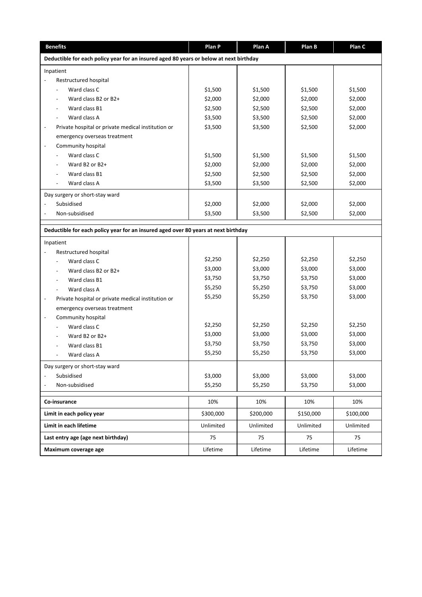| <b>Benefits</b>                                                                        | Plan P    | Plan A    | Plan B    | Plan C    |
|----------------------------------------------------------------------------------------|-----------|-----------|-----------|-----------|
| Deductible for each policy year for an insured aged 80 years or below at next birthday |           |           |           |           |
| Inpatient                                                                              |           |           |           |           |
| Restructured hospital                                                                  |           |           |           |           |
| Ward class C                                                                           | \$1,500   | \$1,500   | \$1,500   | \$1,500   |
| Ward class B2 or B2+                                                                   | \$2,000   | \$2,000   | \$2,000   | \$2,000   |
| Ward class B1                                                                          | \$2,500   | \$2,500   | \$2,500   | \$2,000   |
| Ward class A                                                                           | \$3,500   | \$3,500   | \$2,500   | \$2,000   |
| Private hospital or private medical institution or<br>$\overline{\phantom{a}}$         | \$3,500   | \$3,500   | \$2,500   | \$2,000   |
| emergency overseas treatment                                                           |           |           |           |           |
| Community hospital<br>$\overline{\phantom{a}}$                                         |           |           |           |           |
| Ward class C                                                                           | \$1,500   | \$1,500   | \$1,500   | \$1,500   |
| Ward B2 or B2+                                                                         | \$2,000   | \$2,000   | \$2,000   | \$2,000   |
| Ward class B1                                                                          | \$2,500   | \$2,500   | \$2,500   | \$2,000   |
| Ward class A                                                                           | \$3,500   | \$3,500   | \$2,500   | \$2,000   |
| Day surgery or short-stay ward                                                         |           |           |           |           |
| Subsidised<br>$\overline{\phantom{a}}$                                                 | \$2,000   | \$2,000   | \$2,000   | \$2,000   |
| Non-subsidised                                                                         | \$3,500   | \$3,500   | \$2,500   | \$2,000   |
| Deductible for each policy year for an insured aged over 80 years at next birthday     |           |           |           |           |
|                                                                                        |           |           |           |           |
| Inpatient                                                                              |           |           |           |           |
| Restructured hospital                                                                  | \$2,250   | \$2,250   | \$2,250   | \$2,250   |
| Ward class C<br>Ward class B2 or B2+                                                   | \$3,000   | \$3,000   | \$3,000   | \$3,000   |
| Ward class B1                                                                          | \$3,750   | \$3,750   | \$3,750   | \$3,000   |
| Ward class A                                                                           | \$5,250   | \$5,250   | \$3,750   | \$3,000   |
| Private hospital or private medical institution or<br>$\overline{\phantom{a}}$         | \$5,250   | \$5,250   | \$3,750   | \$3,000   |
| emergency overseas treatment                                                           |           |           |           |           |
| Community hospital<br>$\overline{\phantom{a}}$                                         |           |           |           |           |
| Ward class C                                                                           | \$2,250   | \$2,250   | \$2,250   | \$2,250   |
| Ward B2 or B2+                                                                         | \$3,000   | \$3,000   | \$3,000   | \$3,000   |
| Ward class B1                                                                          | \$3,750   | \$3,750   | \$3,750   | \$3,000   |
| Ward class A                                                                           | \$5,250   | \$5,250   | \$3,750   | \$3,000   |
| Day surgery or short-stay ward                                                         |           |           |           |           |
| Subsidised                                                                             | \$3,000   | \$3,000   | \$3,000   | \$3,000   |
| Non-subsidised                                                                         | \$5,250   | \$5,250   | \$3,750   | \$3,000   |
|                                                                                        |           |           |           |           |
| Co-insurance                                                                           | 10%       | 10%       | 10%       | 10%       |
| Limit in each policy year                                                              | \$300,000 | \$200,000 | \$150,000 | \$100,000 |
| Limit in each lifetime                                                                 | Unlimited | Unlimited | Unlimited | Unlimited |
| Last entry age (age next birthday)                                                     | 75        | 75        | 75        | 75        |
| Maximum coverage age                                                                   | Lifetime  | Lifetime  | Lifetime  | Lifetime  |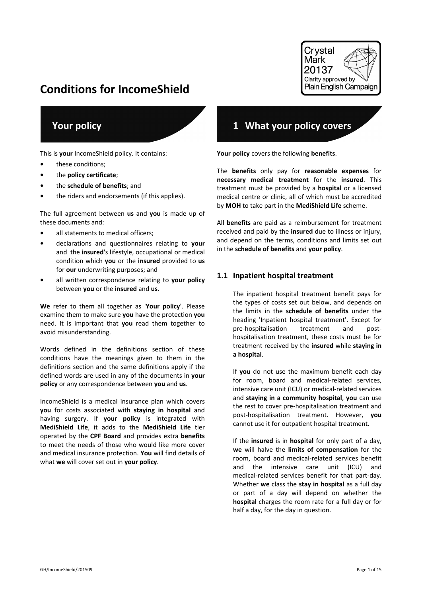# **Conditions for IncomeShield**



# **Your policy**

This is **your** IncomeShield policy. It contains:

- **•** these conditions;
- **•** the **policy certificate**;
- **•** the **schedule of benefits**; and
- **•** the riders and endorsements (if this applies).

The full agreement between **us** and **you** is made up of these documents and:

- **•** all statements to medical officers;
- **•** declarations and questionnaires relating to **your** and the **insured**'s lifestyle, occupational or medical condition which **you** or the **insured** provided to **us** for **our** underwriting purposes; and
- **•** all written correspondence relating to **your policy** between **you** or the **insured** and **us**.

**We** refer to them all together as '**Your policy**'. Please examine them to make sure **you** have the protection **you** need. It is important that **you** read them together to avoid misunderstanding.

Words defined in the definitions section of these conditions have the meanings given to them in the definitions section and the same definitions apply if the defined words are used in any of the documents in **your policy** or any correspondence between **you** and **us**.

IncomeShield is a medical insurance plan which covers **you** for costs associated with **staying in hospital** and having surgery. If **your policy** is integrated with **MediShield Life**, it adds to the **MediShield Life** tier operated by the **CPF Board** and provides extra **benefits** to meet the needs of those who would like more cover and medical insurance protection. **You** will find details of what **we** will cover set out in **your policy**.

# **1 What your policy covers**

**Your policy** covers the following **benefits**.

The **benefits** only pay for **reasonable expenses** for **necessary medical treatment** for the **insured**. This treatment must be provided by a **hospital** or a licensed medical centre or clinic, all of which must be accredited by **MOH** to take part in the **MediShield Life** scheme.

All **benefits** are paid as a reimbursement for treatment received and paid by the **insured** due to illness or injury, and depend on the terms, conditions and limits set out in the **schedule of benefits** and **your policy**.

#### **1.1 Inpatient hospital treatment**

The inpatient hospital treatment benefit pays for the types of costs set out below, and depends on the limits in the **schedule of benefits** under the heading 'Inpatient hospital treatment'. Except for pre-hospitalisation treatment and posthospitalisation treatment, these costs must be for treatment received by the **insured** while **staying in a hospital**.

If **you** do not use the maximum benefit each day for room, board and medical-related services, intensive care unit (ICU) or medical-related services and **staying in a community hospital**, **you** can use the rest to cover pre-hospitalisation treatment and post-hospitalisation treatment. However, **you** cannot use it for outpatient hospital treatment.

If the **insured** is in **hospital** for only part of a day, **we** will halve the **limits of compensation** for the room, board and medical-related services benefit and the intensive care unit (ICU) and medical-related services benefit for that part-day. Whether **we** class the **stay in hospital** as a full day or part of a day will depend on whether the **hospital** charges the room rate for a full day or for half a day, for the day in question.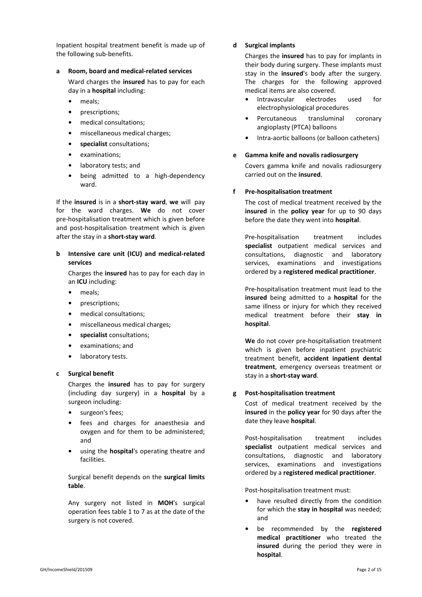Inpatient hospital treatment benefit is made up of the following sub-benefits.

#### **a Room, board and medical-related services**

Ward charges the **insured** has to pay for each day in a **hospital** including:

- **•** meals;
- **•** prescriptions;
- **•** medical consultations;
- **•** miscellaneous medical charges;
- **• specialist** consultations;
- **•** examinations;
- **•** laboratory tests; and
- **•** being admitted to a high-dependency ward.

If the **insured** is in a **short-stay ward**, **we** will pay for the ward charges. **We** do not cover pre-hospitalisation treatment which is given before and post-hospitalisation treatment which is given after the stay in a **short-stay ward**.

#### **b Intensive care unit (ICU) and medical-related services**

Charges the **insured** has to pay for each day in an **ICU** including:

- **•** meals;
- **•** prescriptions;
- **•** medical consultations;
- **•** miscellaneous medical charges;
- **• specialist** consultations;
- **•** examinations; and
- **•** laboratory tests.

#### **c Surgical benefit**

Charges the **insured** has to pay for surgery (including day surgery) in a **hospital** by a surgeon including:

- **•** surgeon's fees;
- **•** fees and charges for anaesthesia and oxygen and for them to be administered; and
- **•** using the **hospital**'s operating theatre and facilities.

Surgical benefit depends on the **surgical limits table**.

Any surgery not listed in **MOH**'s surgical operation fees table 1 to 7 as at the date of the surgery is not covered.

#### **d Surgical implants**

Charges the **insured** has to pay for implants in their body during surgery. These implants must stay in the **insured**'s body after the surgery. The charges for the following approved medical items are also covered.

- **•** Intravascular electrodes used for electrophysiological procedures
- **•** Percutaneous transluminal coronary angioplasty (PTCA) balloons
- **•** Intra-aortic balloons (or balloon catheters)

#### **e Gamma knife and novalis radiosurgery**

Covers gamma knife and novalis radiosurgery carried out on the **insured**.

#### **f Pre-hospitalisation treatment**

The cost of medical treatment received by the **insured** in the **policy year** for up to 90 days before the date they went into **hospital**.

Pre-hospitalisation treatment includes **specialist** outpatient medical services and consultations, diagnostic and laboratory services, examinations and investigations ordered by a **registered medical practitioner**.

Pre-hospitalisation treatment must lead to the **insured** being admitted to a **hospital** for the same illness or injury for which they received medical treatment before their **stay in hospital**.

**We** do not cover pre-hospitalisation treatment which is given before inpatient psychiatric treatment benefit, **accident inpatient dental treatment**, emergency overseas treatment or stay in a **short-stay ward**.

#### **g Post-hospitalisation treatment**

Cost of medical treatment received by the **insured** in the **policy year** for 90 days after the date they leave **hospital**.

Post-hospitalisation treatment includes **specialist** outpatient medical services and consultations, diagnostic and laboratory services, examinations and investigations ordered by a **registered medical practitioner**.

Post-hospitalisation treatment must:

- **•** have resulted directly from the condition for which the **stay in hospital** was needed; and
- **•** be recommended by the **registered medical practitioner** who treated the **insured** during the period they were in **hospital**.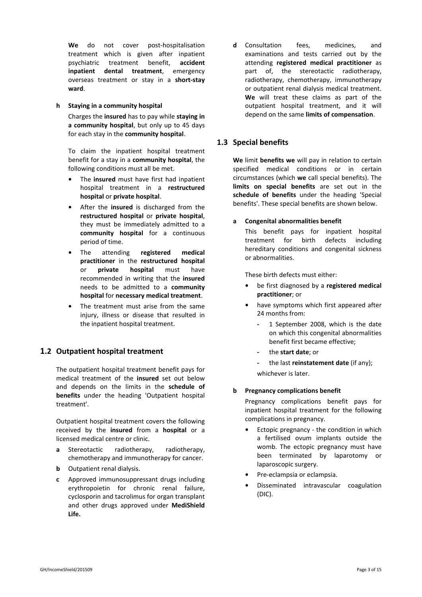**We** do not cover post-hospitalisation treatment which is given after inpatient psychiatric treatment benefit, **accident inpatient dental treatment**, emergency overseas treatment or stay in a **short-stay ward**.

#### **h Staying in a community hospital**

Charges the **insured** has to pay while **staying in a community hospital**, but only up to 45 days for each stay in the **community hospital**.

To claim the inpatient hospital treatment benefit for a stay in a **community hospital**, the following conditions must all be met.

- **•** The **insured** must have first had inpatient hospital treatment in a **restructured hospital** or **private hospital**.
- **•** After the **insured** is discharged from the **restructured hospital** or **private hospital**, they must be immediately admitted to a **community hospital** for a continuous period of time.
- **•** The attending **registered medical practitioner** in the **restructured hospital** or **private hospital** must have recommended in writing that the **insured** needs to be admitted to a **community hospital** for **necessary medical treatment**.
- The treatment must arise from the same injury, illness or disease that resulted in the inpatient hospital treatment.

# **1.2 Outpatient hospital treatment**

The outpatient hospital treatment benefit pays for medical treatment of the **insured** set out below and depends on the limits in the **schedule of benefits** under the heading 'Outpatient hospital treatment'.

Outpatient hospital treatment covers the following received by the **insured** from a **hospital** or a licensed medical centre or clinic.

- **a** Stereotactic radiotherapy, radiotherapy, chemotherapy and immunotherapy for cancer.
- **b** Outpatient renal dialysis.
- **c** Approved immunosuppressant drugs including erythropoietin for chronic renal failure, cyclosporin and tacrolimus for organ transplant and other drugs approved under **MediShield Life.**

**d** Consultation fees, medicines, and examinations and tests carried out by the attending **registered medical practitioner** as part of, the stereotactic radiotherapy, radiotherapy, chemotherapy, immunotherapy or outpatient renal dialysis medical treatment. **We** will treat these claims as part of the outpatient hospital treatment, and it will depend on the same **limits of compensation**.

# **1.3 Special benefits**

**We** limit **benefits we** will pay in relation to certain specified medical conditions or in certain circumstances (which **we** call special benefits). The **limits on special benefits** are set out in the **schedule of benefits** under the heading 'Special benefits'. These special benefits are shown below.

#### **a Congenital abnormalities benefit**

This benefit pays for inpatient hospital treatment for birth defects including hereditary conditions and congenital sickness or abnormalities.

These birth defects must either:

- **•** be first diagnosed by a **registered medical practitioner**; or
- **•** have symptoms which first appeared after 24 months from:
	- **-** 1 September 2008, which is the date on which this congenital abnormalities benefit first became effective;
	- **-** the **start date**; or
	- **-** the last **reinstatement date** (if any);

whichever is later.

#### **b Pregnancy complications benefit**

Pregnancy complications benefit pays for inpatient hospital treatment for the following complications in pregnancy.

- **•** Ectopic pregnancy the condition in which a fertilised ovum implants outside the womb. The ectopic pregnancy must have been terminated by laparotomy or laparoscopic surgery.
- **•** Pre-eclampsia or eclampsia.
- **•** Disseminated intravascular coagulation (DIC).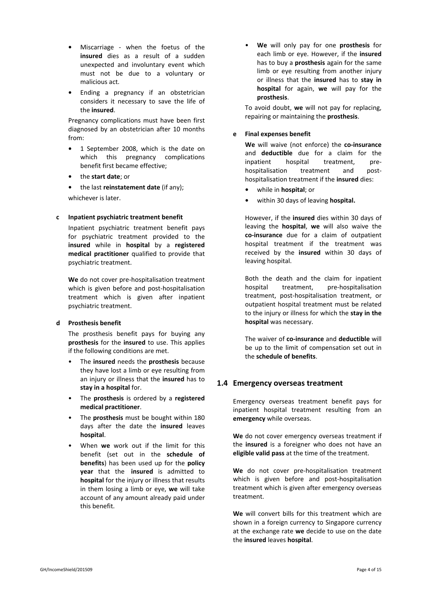- **•** Miscarriage when the foetus of the **insured** dies as a result of a sudden unexpected and involuntary event which must not be due to a voluntary or malicious act.
- **•** Ending a pregnancy if an obstetrician considers it necessary to save the life of the **insured**.

Pregnancy complications must have been first diagnosed by an obstetrician after 10 months from:

- **•** 1 September 2008, which is the date on which this pregnancy complications benefit first became effective;
- **•** the **start date**; or
- **•** the last **reinstatement date** (if any);

whichever is later.

#### **c Inpatient psychiatric treatment benefit**

Inpatient psychiatric treatment benefit pays for psychiatric treatment provided to the **insured** while in **hospital** by a **registered medical practitioner** qualified to provide that psychiatric treatment.

**We** do not cover pre-hospitalisation treatment which is given before and post-hospitalisation treatment which is given after inpatient psychiatric treatment.

#### **d Prosthesis benefit**

The prosthesis benefit pays for buying any **prosthesis** for the **insured** to use. This applies if the following conditions are met.

- The **insured** needs the **prosthesis** because they have lost a limb or eye resulting from an injury or illness that the **insured** has to **stay in a hospital** for.
- The **prosthesis** is ordered by a **registered medical practitioner**.
- The **prosthesis** must be bought within 180 days after the date the **insured** leaves **hospital**.
- When **we** work out if the limit for this benefit (set out in the **schedule of benefits**) has been used up for the **policy year** that the **insured** is admitted to **hospital** for the injury or illness that results in them losing a limb or eye, **we** will take account of any amount already paid under this benefit.

• **We** will only pay for one **prosthesis** for each limb or eye. However, if the **insured** has to buy a **prosthesis** again for the same limb or eye resulting from another injury or illness that the **insured** has to **stay in hospital** for again, **we** will pay for the **prosthesis**.

To avoid doubt, **we** will not pay for replacing, repairing or maintaining the **prosthesis**.

#### **e Final expenses benefit**

**We** will waive (not enforce) the **co-insurance** and **deductible** due for a claim for the inpatient hospital treatment, prehospitalisation treatment and posthospitalisation treatment if the **insured** dies:

- **•** while in **hospital**; or
- **•** within 30 days of leaving **hospital.**

However, if the **insured** dies within 30 days of leaving the **hospital**, **we** will also waive the **co-insurance** due for a claim of outpatient hospital treatment if the treatment was received by the **insured** within 30 days of leaving hospital.

Both the death and the claim for inpatient hospital treatment, pre-hospitalisation treatment, post-hospitalisation treatment, or outpatient hospital treatment must be related to the injury or illness for which the **stay in the hospital** was necessary.

The waiver of **co-insurance** and **deductible** will be up to the limit of compensation set out in the **schedule of benefits**.

# **1.4 Emergency overseas treatment**

Emergency overseas treatment benefit pays for inpatient hospital treatment resulting from an **emergency** while overseas.

**We** do not cover emergency overseas treatment if the **insured** is a foreigner who does not have an **eligible valid pass** at the time of the treatment.

**We** do not cover pre-hospitalisation treatment which is given before and post-hospitalisation treatment which is given after emergency overseas treatment.

**We** will convert bills for this treatment which are shown in a foreign currency to Singapore currency at the exchange rate **we** decide to use on the date the **insured** leaves **hospital**.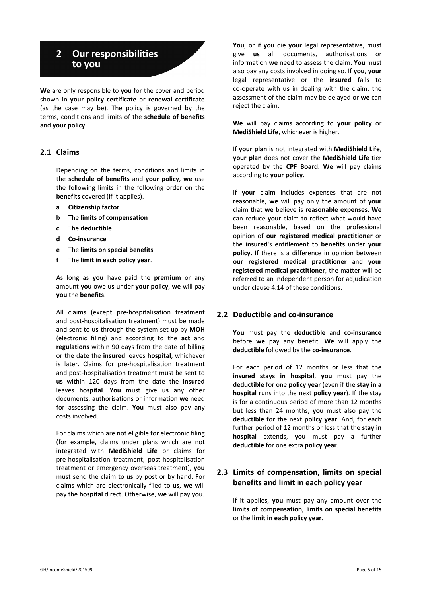# **2 Our responsibilities to you**

**We** are only responsible to **you** for the cover and period shown in **your policy certificate** or **renewal certificate** (as the case may be). The policy is governed by the terms, conditions and limits of the **schedule of benefits** and **your policy**.

### **2.1 Claims**

Depending on the terms, conditions and limits in the **schedule of benefits** and **your policy**, **we** use the following limits in the following order on the **benefits** covered (if it applies).

- **a Citizenship factor**
- **b** The **limits of compensation**
- **c** The **deductible**
- **d Co-insurance**
- **e** The **limits on special benefits**
- **f** The **limit in each policy year**.

As long as **you** have paid the **premium** or any amount **you** owe **us** under **your policy**, **we** will pay **you** the **benefits**.

All claims (except pre-hospitalisation treatment and post-hospitalisation treatment) must be made and sent to **us** through the system set up by **MOH** (electronic filing) and according to the **act** and **regulations** within 90 days from the date of billing or the date the **insured** leaves **hospital**, whichever is later. Claims for pre-hospitalisation treatment and post-hospitalisation treatment must be sent to **us** within 120 days from the date the **insured** leaves **hospital**. **You** must give **us** any other documents, authorisations or information **we** need for assessing the claim. **You** must also pay any costs involved.

For claims which are not eligible for electronic filing (for example, claims under plans which are not integrated with **MediShield Life** or claims for pre-hospitalisation treatment, post-hospitalisation treatment or emergency overseas treatment), **you** must send the claim to **us** by post or by hand. For claims which are electronically filed to **us**, **we** will pay the **hospital** direct. Otherwise, **we** will pay **you**.

**You**, or if **you** die **your** legal representative, must give **us** all documents, authorisations or information **we** need to assess the claim. **You** must also pay any costs involved in doing so. If **you**, **your** legal representative or the **insured** fails to co-operate with **us** in dealing with the claim, the assessment of the claim may be delayed or **we** can reject the claim.

**We** will pay claims according to **your policy** or **MediShield Life**, whichever is higher.

If **your plan** is not integrated with **MediShield Life**, **your plan** does not cover the **MediShield Life** tier operated by the **CPF Board**. **We** will pay claims according to **your policy**.

If **your** claim includes expenses that are not reasonable, **we** will pay only the amount of **your** claim that **we** believe is **reasonable expenses**. **We** can reduce **your** claim to reflect what would have been reasonable, based on the professional opinion of **our registered medical practitioner** or the **insured**'s entitlement to **benefits** under **your policy.** If there is a difference in opinion between **our registered medical practitioner** and **your registered medical practitioner**, the matter will be referred to an independent person for adjudication under clause 4.14 of these conditions.

#### **2.2 Deductible and co-insurance**

**You** must pay the **deductible** and **co-insurance** before **we** pay any benefit. **We** will apply the **deductible** followed by the **co-insurance**.

For each period of 12 months or less that the **insured stays in hospital**, **you** must pay the **deductible** for one **policy year** (even if the **stay in a hospital** runs into the next **policy year**). If the stay is for a continuous period of more than 12 months but less than 24 months, **you** must also pay the **deductible** for the next **policy year**. And, for each further period of 12 months or less that the **stay in hospital** extends, **you** must pay a further **deductible** for one extra **policy year**.

# **2.3 Limits of compensation, limits on special benefits and limit in each policy year**

If it applies, **you** must pay any amount over the **limits of compensation**, **limits on special benefits** or the **limit in each policy year**.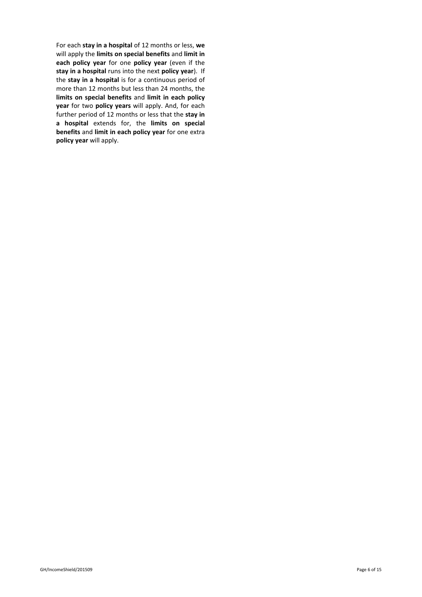For each **stay in a hospital** of 12 months or less, **we** will apply the **limits on special benefits** and **limit in each policy year** for one **policy year** (even if the **stay in a hospital** runs into the next **policy year**). If the **stay in a hospital** is for a continuous period of more than 12 months but less than 24 months, the **limits on special benefits** and **limit in each policy year** for two **policy years** will apply. And, for each further period of 12 months or less that the **stay in a hospital** extends for, the **limits on special benefits** and **limit in each policy year** for one extra **policy year** will apply.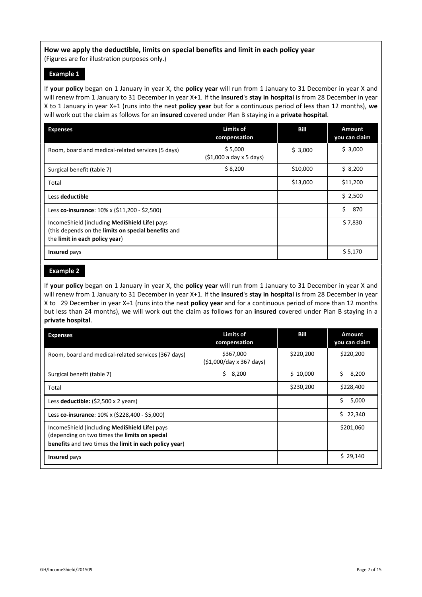### **How we apply the deductible, limits on special benefits and limit in each policy year**

(Figures are for illustration purposes only.)

#### **Example 1**

If **your policy** began on 1 January in year X, the **policy year** will run from 1 January to 31 December in year X and will renew from 1 January to 31 December in year X+1. If the **insured**'s **stay in hospital** is from 28 December in year X to 1 January in year X+1 (runs into the next **policy year** but for a continuous period of less than 12 months), **we** will work out the claim as follows for an **insured** covered under Plan B staying in a **private hospital**.

| <b>Expenses</b>                                                                                                                        | <b>Limits of</b><br>compensation  | Bill     | <b>Amount</b><br>you can claim |
|----------------------------------------------------------------------------------------------------------------------------------------|-----------------------------------|----------|--------------------------------|
| Room, board and medical-related services (5 days)                                                                                      | \$5,000<br>(51,000a day x 5 days) | \$3,000  | \$3,000                        |
| Surgical benefit (table 7)                                                                                                             | \$8,200                           | \$10,000 | \$8,200                        |
| Total                                                                                                                                  |                                   | \$13,000 | \$11,200                       |
| Less deductible                                                                                                                        |                                   |          | \$2,500                        |
| Less co-insurance: $10\% \times (511,200 - 52,500)$                                                                                    |                                   |          | Ś.<br>870                      |
| IncomeShield (including MediShield Life) pays<br>(this depends on the limits on special benefits and<br>the limit in each policy year) |                                   |          | \$7,830                        |
| Insured pays                                                                                                                           |                                   |          | \$5,170                        |

#### **Example 2**

If **your policy** began on 1 January in year X, the **policy year** will run from 1 January to 31 December in year X and will renew from 1 January to 31 December in year X+1. If the **insured**'s **stay in hospital** is from 28 December in year X to 29 December in year X+1 (runs into the next **policy year** and for a continuous period of more than 12 months but less than 24 months), **we** will work out the claim as follows for an **insured** covered under Plan B staying in a **private hospital**.

| <b>Expenses</b>                                                                                                                                         | <b>Limits of</b><br>compensation            | Bill      | <b>Amount</b><br>you can claim |
|---------------------------------------------------------------------------------------------------------------------------------------------------------|---------------------------------------------|-----------|--------------------------------|
| Room, board and medical-related services (367 days)                                                                                                     | \$367,000<br>$(51,000/day \times 367 days)$ | \$220,200 | \$220,200                      |
| Surgical benefit (table 7)                                                                                                                              | Ś.<br>8,200                                 | \$10,000  | Ś.<br>8,200                    |
| Total                                                                                                                                                   |                                             | \$230,200 | \$228,400                      |
| Less deductible: $(52,500 \times 2 \text{ years})$                                                                                                      |                                             |           | Ś<br>5,000                     |
| Less co-insurance: 10% x (\$228,400 - \$5,000)                                                                                                          |                                             |           | Ś.<br>22,340                   |
| IncomeShield (including MediShield Life) pays<br>(depending on two times the limits on special<br>benefits and two times the limit in each policy year) |                                             |           | \$201,060                      |
| <b>Insured</b> pays                                                                                                                                     |                                             |           | \$29,140                       |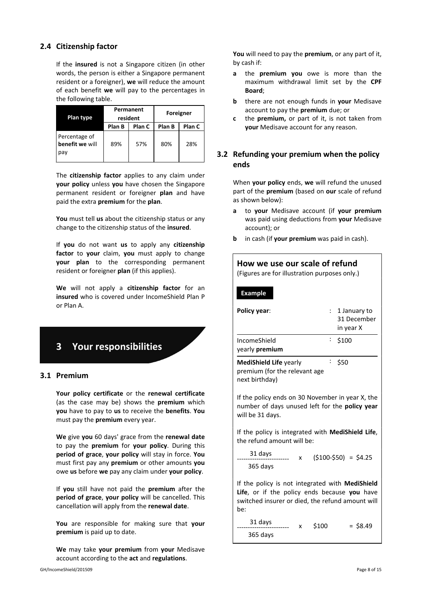# **2.4 Citizenship factor**

If the **insured** is not a Singapore citizen (in other words, the person is either a Singapore permanent resident or a foreigner), **we** will reduce the amount of each benefit **we** will pay to the percentages in the following table.

| Plan type                               | Permanent<br>resident |        | Foreigner |        |
|-----------------------------------------|-----------------------|--------|-----------|--------|
|                                         | Plan B                | Plan C | Plan B    | Plan C |
| Percentage of<br>benefit we will<br>pay | 89%                   | 57%    | 80%       | 28%    |

The **citizenship factor** applies to any claim under **your policy** unless **you** have chosen the Singapore permanent resident or foreigner **plan** and have paid the extra **premium** for the **plan**.

**You** must tell **us** about the citizenship status or any change to the citizenship status of the **insured**.

If **you** do not want **us** to apply any **citizenship factor** to **your** claim, **you** must apply to change **your plan** to the corresponding permanent resident or foreigner **plan** (if this applies).

**We** will not apply a **citizenship factor** for an **insured** who is covered under IncomeShield Plan P or Plan A.

# **3 Your responsibilities**

#### **3.1 Premium**

**Your policy certificate** or the **renewal certificate** (as the case may be) shows the **premium** which **you** have to pay to **us** to receive the **benefits**. **You** must pay the **premium** every year.

**We** give **you** 60 days' grace from the **renewal date** to pay the **premium** for **your policy**. During this **period of grace**, **your policy** will stay in force. **You** must first pay any **premium** or other amounts **you** owe **us** before **we** pay any claim under **your policy**.

If **you** still have not paid the **premium** after the **period of grace**, **your policy** will be cancelled. This cancellation will apply from the **renewal date**.

**You** are responsible for making sure that **your premium** is paid up to date.

**We** may take **your premium** from **your** Medisave account according to the **act** and **regulations**.

**You** will need to pay the **premium**, or any part of it, by cash if:

- **a** the **premium you** owe is more than the maximum withdrawal limit set by the **CPF Board**;
- **b** there are not enough funds in **your** Medisave account to pay the **premium** due; or
- **c** the **premium,** or part of it, is not taken from **your** Medisave account for any reason.

# **3.2 Refunding your premium when the policy ends**

When **your policy** ends, **we** will refund the unused part of the **premium** (based on **our** scale of refund as shown below):

- **a** to **your** Medisave account (if **your premium** was paid using deductions from **your** Medisave account); or
- **b** in cash (if **your premium** was paid in cash).

| How we use our scale of refund<br>(Figures are for illustration purposes only.)                                                                                   |                                          |  |  |  |
|-------------------------------------------------------------------------------------------------------------------------------------------------------------------|------------------------------------------|--|--|--|
| <b>Example</b>                                                                                                                                                    |                                          |  |  |  |
| <b>Policy year:</b><br>$\mathbb{R}^{\mathbb{Z}}$                                                                                                                  | 1 January to<br>31 December<br>in year X |  |  |  |
| $\ddot{\phantom{0}}$<br>IncomeShield<br>vearly <b>premium</b>                                                                                                     | \$100                                    |  |  |  |
| t.<br>\$50<br><b>MediShield Life yearly</b><br>premium (for the relevant age<br>next birthday)                                                                    |                                          |  |  |  |
| If the policy ends on 30 November in year X, the<br>number of days unused left for the policy year<br>will be 31 days.                                            |                                          |  |  |  |
| If the policy is integrated with <b>MediShield Life</b> ,<br>the refund amount will be:                                                                           |                                          |  |  |  |
| 31 days<br>$\mathsf{x}$<br>365 days                                                                                                                               | $(5100-550) = 54.25$                     |  |  |  |
| If the policy is not integrated with <b>MediShield</b><br>Life, or if the policy ends because you have<br>switched insurer or died, the refund amount will<br>be: |                                          |  |  |  |

 31 days ------------------------ 365 days  $$100 = $8.49$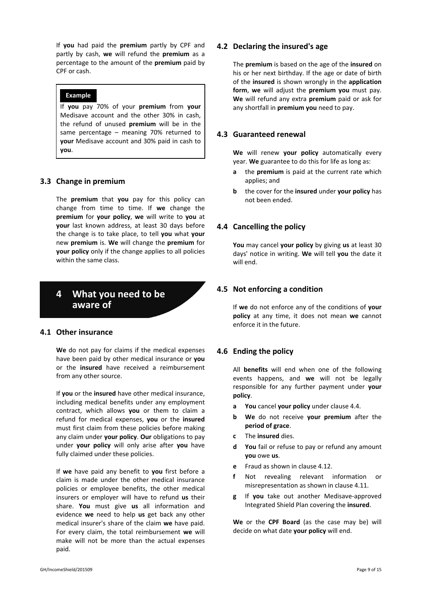If **you** had paid the **premium** partly by CPF and partly by cash, **we** will refund the **premium** as a percentage to the amount of the **premium** paid by CPF or cash.

#### **Example**

If **you** pay 70% of your **premium** from **your** Medisave account and the other 30% in cash, the refund of unused **premium** will be in the same percentage – meaning 70% returned to **your** Medisave account and 30% paid in cash to **you**.

# **3.3 Change in premium**

The **premium** that **you** pay for this policy can change from time to time. If **we** change the **premium** for **your policy**, **we** will write to **you** at **your** last known address, at least 30 days before the change is to take place, to tell **you** what **your** new **premium** is. **We** will change the **premium** for **your policy** only if the change applies to all policies within the same class.

# **4 What you need to be aware of**

#### **4.1 Other insurance**

**We** do not pay for claims if the medical expenses have been paid by other medical insurance or **you** or the **insured** have received a reimbursement from any other source.

If **you** or the **insured** have other medical insurance, including medical benefits under any employment contract, which allows **you** or them to claim a refund for medical expenses, **you** or the **insured** must first claim from these policies before making any claim under **your policy**. **Our** obligations to pay under **your policy** will only arise after **you** have fully claimed under these policies.

If **we** have paid any benefit to **you** first before a claim is made under the other medical insurance policies or employee benefits, the other medical insurers or employer will have to refund **us** their share. **You** must give **us** all information and evidence **we** need to help **us** get back any other medical insurer's share of the claim **we** have paid. For every claim, the total reimbursement **we** will make will not be more than the actual expenses paid.

### **4.2 Declaring the insured's age**

The **premium** is based on the age of the **insured** on his or her next birthday. If the age or date of birth of the **insured** is shown wrongly in the **application form**, **we** will adjust the **premium you** must pay. **We** will refund any extra **premium** paid or ask for any shortfall in **premium you** need to pay.

# **4.3 Guaranteed renewal**

**We** will renew **your policy** automatically every year. **We** guarantee to do this for life as long as:

- **a** the **premium** is paid at the current rate which applies; and
- **b** the cover for the **insured** under **your policy** has not been ended.

# **4.4 Cancelling the policy**

**You** may cancel **your policy** by giving **us** at least 30 days' notice in writing. **We** will tell **you** the date it will end.

# **4.5 Not enforcing a condition**

If **we** do not enforce any of the conditions of **your policy** at any time, it does not mean **we** cannot enforce it in the future.

# **4.6 Ending the policy**

All **benefits** will end when one of the following events happens, and **we** will not be legally responsible for any further payment under **your policy**.

- **a You** cancel **your policy** under clause 4.4.
- **b We** do not receive **your premium** after the **period of grace**.
- **c** The **insured** dies.
- **d You** fail or refuse to pay or refund any amount **you** owe **us**.
- **e** Fraud as shown in clause 4.12.
- **f** Not revealing relevant information or misrepresentation as shown in clause 4.11.
- **g** If **you** take out another Medisave-approved Integrated Shield Plan covering the **insured**.

**We** or the **CPF Board** (as the case may be) will decide on what date **your policy** will end.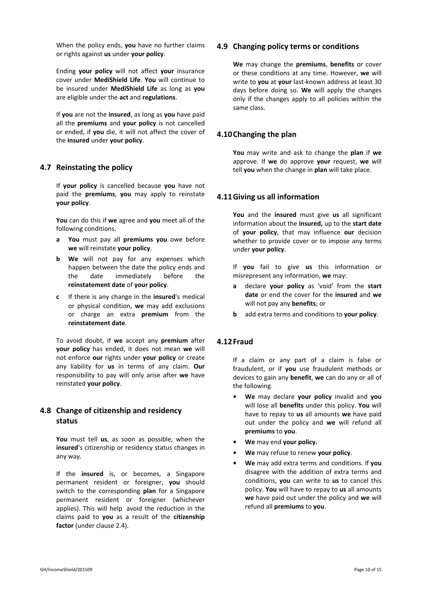When the policy ends, **you** have no further claims or rights against **us** under **your policy**.

Ending **your policy** will not affect **your** insurance cover under **MediShield Life**. **You** will continue to be insured under **MediShield Life** as long as **you** are eligible under the **act** and **regulations**.

If **you** are not the **insured**, as long as **you** have paid all the **premiums** and **your policy** is not cancelled or ended, if **you** die, it will not affect the cover of the **insured** under **your policy**.

# **4.7 Reinstating the policy**

If **your policy** is cancelled because **you** have not paid the **premiums**, **you** may apply to reinstate **your policy**.

**You** can do this if **we** agree and **you** meet all of the following conditions.

- **a You** must pay all **premiums you** owe before **we** will reinstate **your policy**.
- **b We** will not pay for any expenses which happen between the date the policy ends and the date immediately before the **reinstatement date** of **your policy**.
- **c** If there is any change in the **insured**'s medical or physical condition, **we** may add exclusions or charge an extra **premium** from the **reinstatement date**.

To avoid doubt, if **we** accept any **premium** after **your policy** has ended, it does not mean **we** will not enforce **our** rights under **your policy** or create any liability for **us** in terms of any claim. **Our** responsibility to pay will only arise after **we** have reinstated **your policy**.

# **4.8 Change of citizenship and residency status**

**You** must tell **us**, as soon as possible, when the **insured**'s citizenship or residency status changes in any way.

If the **insured** is, or becomes, a Singapore permanent resident or foreigner, **you** should switch to the corresponding **plan** for a Singapore permanent resident or foreigner (whichever applies). This will help avoid the reduction in the claims paid to **you** as a result of the **citizenship factor** (under clause 2.4).

### **4.9 Changing policy terms or conditions**

**We** may change the **premiums**, **benefits** or cover or these conditions at any time. However, **we** will write to **you** at **your** last-known address at least 30 days before doing so. **We** will apply the changes only if the changes apply to all policies within the same class.

# **4.10Changing the plan**

**You** may write and ask to change the **plan** if **we** approve. If **we** do approve **your** request, **we** will tell **you** when the change in **plan** will take place.

### **4.11Giving us all information**

**You** and the **insured** must give **us** all significant information about the **insured,** up to the **start date** of **your policy**, that may influence **our** decision whether to provide cover or to impose any terms under **your policy**.

If **you** fail to give **us** this information or misrepresent any information, **we** may:

- **a** declare **your policy** as 'void' from the **start date** or end the cover for the **insured** and **we** will not pay any **benefits**; or
- **b** add extra terms and conditions to **your policy**.

#### **4.12Fraud**

If a claim or any part of a claim is false or fraudulent, or if **you** use fraudulent methods or devices to gain any **benefit**, **we** can do any or all of the following.

- **• We** may declare **your policy** invalid and **you** will lose all **benefits** under this policy. **You** will have to repay to **us** all amounts **we** have paid out under the policy and **we** will refund all **premiums** to **you**.
- **• We** may end **your policy.**
- **• We** may refuse to renew **your policy**.
- **• We** may add extra terms and conditions. If **you** disagree with the addition of extra terms and conditions, **you** can write to **us** to cancel this policy. **You** will have to repay to **us** all amounts **we** have paid out under the policy and **we** will refund all **premiums** to **you**.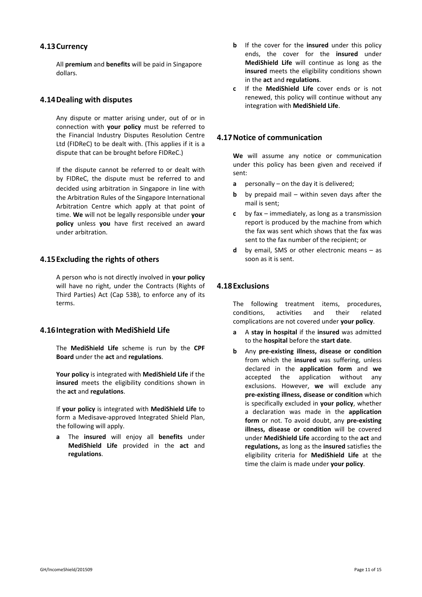#### **4.13Currency**

All **premium** and **benefits** will be paid in Singapore dollars.

### **4.14Dealing with disputes**

Any dispute or matter arising under, out of or in connection with **your policy** must be referred to the Financial Industry Disputes Resolution Centre Ltd (FIDReC) to be dealt with. (This applies if it is a dispute that can be brought before FIDReC.)

If the dispute cannot be referred to or dealt with by FIDReC, the dispute must be referred to and decided using arbitration in Singapore in line with the Arbitration Rules of the Singapore International Arbitration Centre which apply at that point of time. **We** will not be legally responsible under **your policy** unless **you** have first received an award under arbitration.

### **4.15Excluding the rights of others**

A person who is not directly involved in **your policy** will have no right, under the Contracts (Rights of Third Parties) Act (Cap 53B), to enforce any of its terms.

# **4.16Integration with MediShield Life**

The **MediShield Life** scheme is run by the **CPF Board** under the **act** and **regulations**.

**Your policy** is integrated with **MediShield Life** if the **insured** meets the eligibility conditions shown in the **act** and **regulations**.

If **your policy** is integrated with **MediShield Life** to form a Medisave-approved Integrated Shield Plan, the following will apply.

**a** The **insured** will enjoy all **benefits** under **MediShield Life** provided in the **act** and **regulations**.

- **b** If the cover for the **insured** under this policy ends, the cover for the **insured** under **MediShield Life** will continue as long as the **insured** meets the eligibility conditions shown in the **act** and **regulations**.
- **c** If the **MediShield Life** cover ends or is not renewed, this policy will continue without any integration with **MediShield Life**.

### **4.17Notice of communication**

**We** will assume any notice or communication under this policy has been given and received if sent:

- **a** personally on the day it is delivered;
- **b** by prepaid mail within seven days after the mail is sent;
- **c** by fax immediately, as long as a transmission report is produced by the machine from which the fax was sent which shows that the fax was sent to the fax number of the recipient; or
- **d** by email, SMS or other electronic means as soon as it is sent.

### **4.18Exclusions**

The following treatment items, procedures, conditions, activities and their related complications are not covered under **your policy**.

- **a** A **stay in hospital** if the **insured** was admitted to the **hospital** before the **start date**.
- **b** Any **pre-existing illness, disease or condition** from which the **insured** was suffering, unless declared in the **application form** and **we** accepted the application without any exclusions. However, **we** will exclude any **pre-existing illness, disease or condition** which is specifically excluded in **your policy**, whether a declaration was made in the **application form** or not. To avoid doubt, any **pre-existing illness, disease or condition** will be covered under **MediShield Life** according to the **act** and **regulations,** as long as the **insured** satisfies the eligibility criteria for **MediShield Life** at the time the claim is made under **your policy**.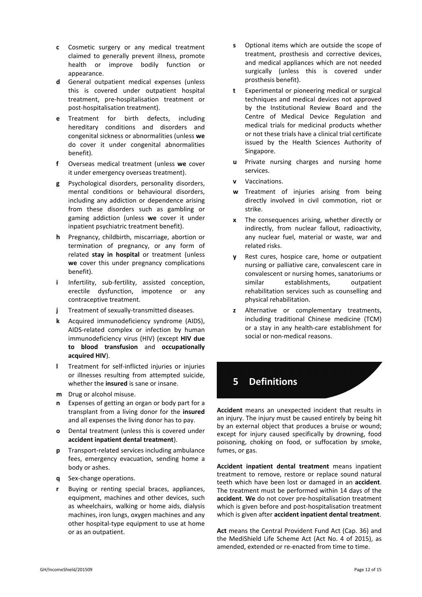- **c** Cosmetic surgery or any medical treatment claimed to generally prevent illness, promote health or improve bodily function or appearance.
- **d** General outpatient medical expenses (unless this is covered under outpatient hospital treatment, pre-hospitalisation treatment or post-hospitalisation treatment).
- **e** Treatment for birth defects, including hereditary conditions and disorders and congenital sickness or abnormalities (unless **we** do cover it under congenital abnormalities benefit).
- **f** Overseas medical treatment (unless **we** cover it under emergency overseas treatment).
- **g** Psychological disorders, personality disorders, mental conditions or behavioural disorders, including any addiction or dependence arising from these disorders such as gambling or gaming addiction (unless **we** cover it under inpatient psychiatric treatment benefit).
- **h** Pregnancy, childbirth, miscarriage, abortion or termination of pregnancy, or any form of related **stay in hospital** or treatment (unless **we** cover this under pregnancy complications benefit).
- **i** Infertility, sub-fertility, assisted conception, erectile dysfunction, impotence or any contraceptive treatment.
- **j** Treatment of sexually-transmitted diseases.
- **k** Acquired immunodeficiency syndrome (AIDS), AIDS-related complex or infection by human immunodeficiency virus (HIV) (except **HIV due to blood transfusion** and **occupationally acquired HIV**).
- **l** Treatment for self-inflicted injuries or injuries or illnesses resulting from attempted suicide, whether the **insured** is sane or insane.
- **m** Drug or alcohol misuse.
- **n** Expenses of getting an organ or body part for a transplant from a living donor for the **insured** and all expenses the living donor has to pay.
- **o** Dental treatment (unless this is covered under **accident inpatient dental treatment**).
- **p** Transport-related services including ambulance fees, emergency evacuation, sending home a body or ashes.
- **q** Sex-change operations.
- **r** Buying or renting special braces, appliances, equipment, machines and other devices, such as wheelchairs, walking or home aids, dialysis machines, iron lungs, oxygen machines and any other hospital-type equipment to use at home or as an outpatient.
- **s** Optional items which are outside the scope of treatment, prosthesis and corrective devices, and medical appliances which are not needed surgically (unless this is covered under prosthesis benefit).
- **t** Experimental or pioneering medical or surgical techniques and medical devices not approved by the Institutional Review Board and the Centre of Medical Device Regulation and medical trials for medicinal products whether or not these trials have a clinical trial certificate issued by the Health Sciences Authority of Singapore.
- **u** Private nursing charges and nursing home services.
- **v** Vaccinations.
- **w** Treatment of injuries arising from being directly involved in civil commotion, riot or strike.
- **x** The consequences arising, whether directly or indirectly, from nuclear fallout, radioactivity, any nuclear fuel, material or waste, war and related risks.
- **y** Rest cures, hospice care, home or outpatient nursing or palliative care, convalescent care in convalescent or nursing homes, sanatoriums or similar establishments, outpatient rehabilitation services such as counselling and physical rehabilitation.
- **z** Alternative or complementary treatments, including traditional Chinese medicine (TCM) or a stay in any health-care establishment for social or non-medical reasons.

# **5 Definitions**

**Accident** means an unexpected incident that results in an injury. The injury must be caused entirely by being hit by an external object that produces a bruise or wound; except for injury caused specifically by drowning, food poisoning, choking on food, or suffocation by smoke, fumes, or gas.

**Accident inpatient dental treatment** means inpatient treatment to remove, restore or replace sound natural teeth which have been lost or damaged in an **accident**. The treatment must be performed within 14 days of the **accident**. **We** do not cover pre-hospitalisation treatment which is given before and post-hospitalisation treatment which is given after **accident inpatient dental treatment**.

**Act** means the Central Provident Fund Act (Cap. 36) and the MediShield Life Scheme Act (Act No. 4 of 2015), as amended, extended or re-enacted from time to time.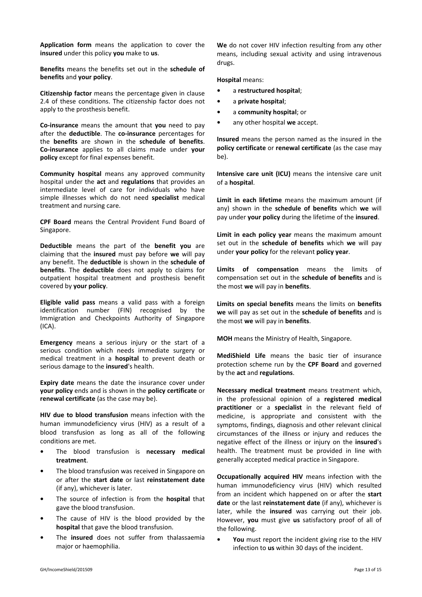**Application form** means the application to cover the **insured** under this policy **you** make to **us**.

**Benefits** means the benefits set out in the **schedule of benefits** and **your policy**.

**Citizenship factor** means the percentage given in clause 2.4 of these conditions. The citizenship factor does not apply to the prosthesis benefit.

**Co-insurance** means the amount that **you** need to pay after the **deductible**. The **co-insurance** percentages for the **benefits** are shown in the **schedule of benefits**. **Co-insurance** applies to all claims made under **your policy** except for final expenses benefit.

**Community hospital** means any approved community hospital under the **act** and **regulations** that provides an intermediate level of care for individuals who have simple illnesses which do not need **specialist** medical treatment and nursing care.

**CPF Board** means the Central Provident Fund Board of Singapore.

**Deductible** means the part of the **benefit you** are claiming that the **insured** must pay before **we** will pay any benefit. The **deductible** is shown in the **schedule of benefits**. The **deductible** does not apply to claims for outpatient hospital treatment and prosthesis benefit covered by **your policy**.

**Eligible valid pass** means a valid pass with a foreign identification number (FIN) recognised by the Immigration and Checkpoints Authority of Singapore (ICA).

**Emergency** means a serious injury or the start of a serious condition which needs immediate surgery or medical treatment in a **hospital** to prevent death or serious damage to the **insured**'s health.

**Expiry date** means the date the insurance cover under **your policy** ends and is shown in the **policy certificate** or **renewal certificate** (as the case may be).

**HIV due to blood transfusion** means infection with the human immunodeficiency virus (HIV) as a result of a blood transfusion as long as all of the following conditions are met.

- **•** The blood transfusion is **necessary medical treatment**.
- **•** The blood transfusion was received in Singapore on or after the **start date** or last **reinstatement date** (if any), whichever is later.
- **•** The source of infection is from the **hospital** that gave the blood transfusion.
- The cause of HIV is the blood provided by the **hospital** that gave the blood transfusion.
- **•** The **insured** does not suffer from thalassaemia major or haemophilia.

**We** do not cover HIV infection resulting from any other means, including sexual activity and using intravenous drugs.

#### **Hospital** means:

- **•** a **restructured hospital**;
- **•** a **private hospital**;
- **•** a **community hospital**; or
- **•** any other hospital **we** accept.

**Insured** means the person named as the insured in the **policy certificate** or **renewal certificate** (as the case may be).

**Intensive care unit (ICU)** means the intensive care unit of a **hospital**.

**Limit in each lifetime** means the maximum amount (if any) shown in the **schedule of benefits** which **we** will pay under **your policy** during the lifetime of the **insured**.

**Limit in each policy year** means the maximum amount set out in the **schedule of benefits** which **we** will pay under **your policy** for the relevant **policy year**.

**Limits of compensation** means the limits of compensation set out in the **schedule of benefits** and is the most **we** will pay in **benefits**.

**Limits on special benefits** means the limits on **benefits we** will pay as set out in the **schedule of benefits** and is the most **we** will pay in **benefits**.

**MOH** means the Ministry of Health, Singapore.

**MediShield Life** means the basic tier of insurance protection scheme run by the **CPF Board** and governed by the **act** and **regulations**.

**Necessary medical treatment** means treatment which, in the professional opinion of a **registered medical practitioner** or a **specialist** in the relevant field of medicine, is appropriate and consistent with the symptoms, findings, diagnosis and other relevant clinical circumstances of the illness or injury and reduces the negative effect of the illness or injury on the **insured**'s health. The treatment must be provided in line with generally accepted medical practice in Singapore.

**Occupationally acquired HIV** means infection with the human immunodeficiency virus (HIV) which resulted from an incident which happened on or after the **start date** or the last **reinstatement date** (if any), whichever is later, while the **insured** was carrying out their job. However, **you** must give **us** satisfactory proof of all of the following.

**• You** must report the incident giving rise to the HIV infection to **us** within 30 days of the incident.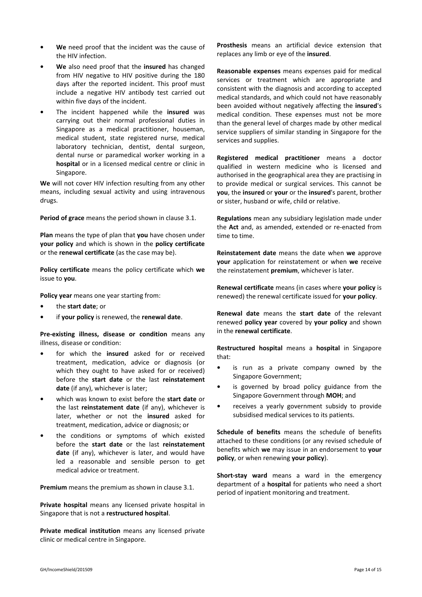- **• We** need proof that the incident was the cause of the HIV infection.
- **• We** also need proof that the **insured** has changed from HIV negative to HIV positive during the 180 days after the reported incident. This proof must include a negative HIV antibody test carried out within five days of the incident.
- **•** The incident happened while the **insured** was carrying out their normal professional duties in Singapore as a medical practitioner, houseman, medical student, state registered nurse, medical laboratory technician, dentist, dental surgeon, dental nurse or paramedical worker working in a **hospital** or in a licensed medical centre or clinic in Singapore.

**We** will not cover HIV infection resulting from any other means, including sexual activity and using intravenous drugs.

**Period of grace** means the period shown in clause 3.1.

**Plan** means the type of plan that **you** have chosen under **your policy** and which is shown in the **policy certificate** or the **renewal certificate** (as the case may be).

**Policy certificate** means the policy certificate which **we** issue to **you**.

**Policy year** means one year starting from:

- **•** the **start date**; or
- **•** if **your policy** is renewed, the **renewal date**.

**Pre-existing illness, disease or condition** means any illness, disease or condition:

- **•** for which the **insured** asked for or received treatment, medication, advice or diagnosis (or which they ought to have asked for or received) before the **start date** or the last **reinstatement date** (if any), whichever is later;
- **•** which was known to exist before the **start date** or the last **reinstatement date** (if any), whichever is later, whether or not the **insured** asked for treatment, medication, advice or diagnosis; or
- **•** the conditions or symptoms of which existed before the **start date** or the last **reinstatement date** (if any), whichever is later, and would have led a reasonable and sensible person to get medical advice or treatment.

**Premium** means the premium as shown in clause 3.1.

**Private hospital** means any licensed private hospital in Singapore that is not a **restructured hospital**.

**Private medical institution** means any licensed private clinic or medical centre in Singapore.

**Prosthesis** means an artificial device extension that replaces any limb or eye of the **insured**.

**Reasonable expenses** means expenses paid for medical services or treatment which are appropriate and consistent with the diagnosis and according to accepted medical standards, and which could not have reasonably been avoided without negatively affecting the **insured**'s medical condition. These expenses must not be more than the general level of charges made by other medical service suppliers of similar standing in Singapore for the services and supplies.

**Registered medical practitioner** means a doctor qualified in western medicine who is licensed and authorised in the geographical area they are practising in to provide medical or surgical services. This cannot be **you**, the **insured** or **your** or the **insured**'s parent, brother or sister, husband or wife, child or relative.

**Regulations** mean any subsidiary legislation made under the **Act** and, as amended, extended or re-enacted from time to time.

**Reinstatement date** means the date when **we** approve **your** application for reinstatement or when **we** receive the reinstatement **premium**, whichever is later.

**Renewal certificate** means (in cases where **your policy** is renewed) the renewal certificate issued for **your policy**.

**Renewal date** means the **start date** of the relevant renewed **policy year** covered by **your policy** and shown in the **renewal certificate**.

**Restructured hospital** means a **hospital** in Singapore that:

- **•** is run as a private company owned by the Singapore Government;
- **•** is governed by broad policy guidance from the Singapore Government through **MOH**; and
- **•** receives a yearly government subsidy to provide subsidised medical services to its patients.

**Schedule of benefits** means the schedule of benefits attached to these conditions (or any revised schedule of benefits which **we** may issue in an endorsement to **your policy**, or when renewing **your policy**).

**Short-stay ward** means a ward in the emergency department of a **hospital** for patients who need a short period of inpatient monitoring and treatment.